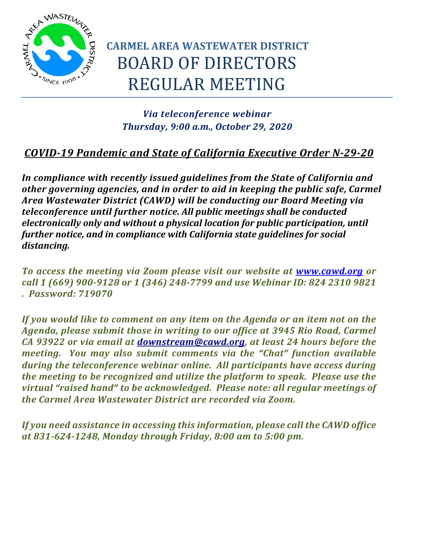

# **CARMEL AREA WASTEWATER DISTRICT** BOARD OF DIRECTORS REGULAR MEETING

### *Via teleconference webinar Thursday, 9:00 a.m., October 29, 2020*

### *COVID-19 Pandemic and State of California Executive Order N-29-20*

*In compliance with recently issued guidelines from the State of California and other governing agencies, and in order to aid in keeping the public safe, Carmel Area Wastewater District (CAWD) will be conducting our Board Meeting via teleconference until further notice. All public meetings shall be conducted electronically only and without a physical location for public participation, until further notice, and in compliance with California state guidelines for social distancing.*

*To access the meeting via Zoom please visit our website at [www.cawd.org](https://www.cawd.org/2020-10-29-board-of-directors-meeting) or call 1 (669) 900-9128 or 1 (346) 248-7799 and use Webinar ID: 824 2310 9821 . Password: 719070*

*If you would like to comment on any item on the Agenda or an item not on the Agenda, please submit those in writing to our office at 3945 Rio Road, Carmel CA 93922 or via email at [downstream@cawd.org,](mailto:downstream@cawd.org) at least 24 hours before the meeting. You may also submit comments via the "Chat" function available during the teleconference webinar online. All participants have access during the meeting to be recognized and utilize the platform to speak. Please use the virtual "raised hand" to be acknowledged. Please note: all regular meetings of the Carmel Area Wastewater District are recorded via Zoom.*

*If you need assistance in accessing this information, please call the CAWD office at 831-624-1248, Monday through Friday, 8:00 am to 5:00 pm.*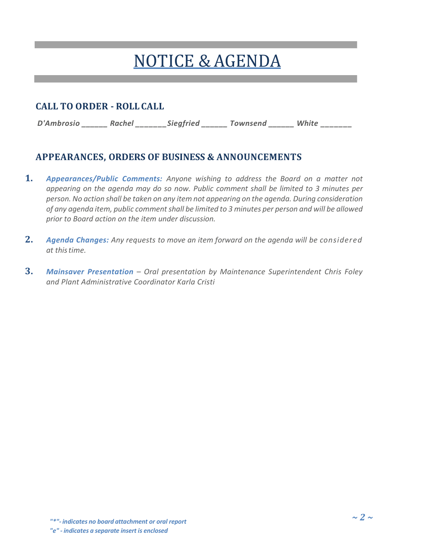# NOTICE &AGENDA

#### **CALL TO ORDER - ROLLCALL**

*D'Ambrosio \_\_\_\_\_\_ Rachel \_\_\_\_\_\_\_Siegfried \_\_\_\_\_\_ Townsend \_\_\_\_\_\_ White \_\_\_\_\_\_\_* 

## **APPEARANCES, ORDERS OF BUSINESS & ANNOUNCEMENTS**

- **1.** *Appearances/Public Comments: Anyone wishing to address the Board on a matter not appearing on the agenda may do so now. Public comment shall be limited to 3 minutes per person. No action shall be taken on any item not appearing on the agenda. During consideration of any agenda item, public comment shall be limited to 3 minutes per person and will be allowed prior to Board action on the item under discussion.*
- **2.** *Agenda Changes: Any requests to move an item forward on the agenda will be considered at thistime.*
- **3.** *Mainsaver Presentation – Oral presentation by Maintenance Superintendent Chris Foley and Plant Administrative Coordinator Karla Cristi*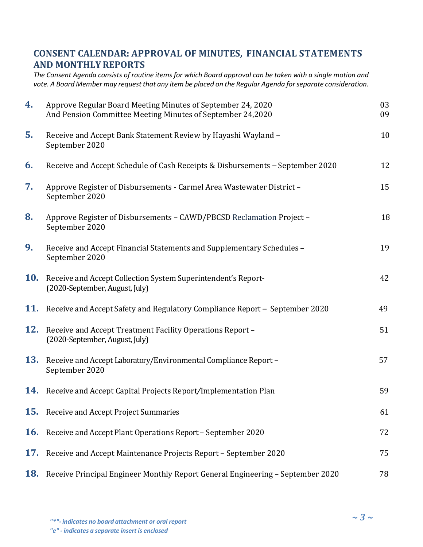#### **CONSENT CALENDAR: APPROVAL OF MINUTES, FINANCIAL STATEMENTS AND MONTHLYREPORTS**

*The Consent Agenda consists of routine items for which Board approval can be taken with a single motion and vote. A Board Member may request that any item be placed on the Regular Agenda for separate consideration.*

| 4.         | Approve Regular Board Meeting Minutes of September 24, 2020<br>And Pension Committee Meeting Minutes of September 24,2020 | 03<br>09 |
|------------|---------------------------------------------------------------------------------------------------------------------------|----------|
| 5.         | Receive and Accept Bank Statement Review by Hayashi Wayland -<br>September 2020                                           | 10       |
| 6.         | Receive and Accept Schedule of Cash Receipts & Disbursements - September 2020                                             | 12       |
| 7.         | Approve Register of Disbursements - Carmel Area Wastewater District -<br>September 2020                                   | 15       |
| 8.         | Approve Register of Disbursements - CAWD/PBCSD Reclamation Project -<br>September 2020                                    | 18       |
| 9.         | Receive and Accept Financial Statements and Supplementary Schedules -<br>September 2020                                   | 19       |
| <b>10.</b> | Receive and Accept Collection System Superintendent's Report-<br>(2020-September, August, July)                           | 42       |
| 11.        | Receive and Accept Safety and Regulatory Compliance Report - September 2020                                               | 49       |
| 12.        | Receive and Accept Treatment Facility Operations Report -<br>(2020-September, August, July)                               | 51       |
| <b>13.</b> | Receive and Accept Laboratory/Environmental Compliance Report -<br>September 2020                                         | 57       |
| 14.        | Receive and Accept Capital Projects Report/Implementation Plan                                                            | 59       |
| 15.        | Receive and Accept Project Summaries                                                                                      | 61       |
| <b>16.</b> | Receive and Accept Plant Operations Report - September 2020                                                               | 72       |
| 17.        | Receive and Accept Maintenance Projects Report - September 2020                                                           | 75       |
| <b>18.</b> | Receive Principal Engineer Monthly Report General Engineering - September 2020                                            | 78       |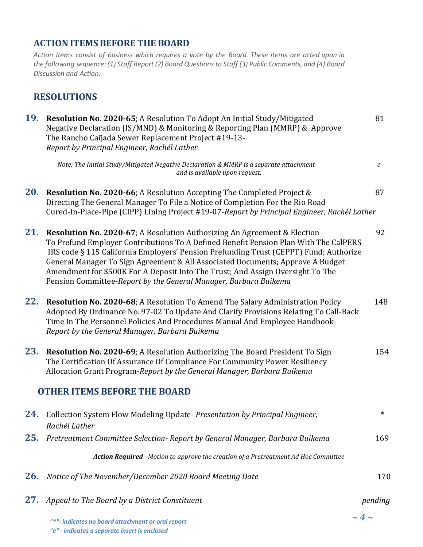#### **ACTIONITEMSBEFORE THE BOARD**

*Action Items consist of business which requires a vote by the Board. These items are acted upon in the following sequence: (1) Staff Report (2) Board Questions to Staff (3) Public Comments, and (4) Board Discussion and Action.*

#### **RESOLUTIONS**

| 19. | Resolution No. 2020-65; A Resolution To Adopt An Initial Study/Mitigated<br>Negative Declaration (IS/MND) & Monitoring & Reporting Plan (MMRP) & Approve<br>The Rancho Cañada Sewer Replacement Project #19-13-<br>Report by Principal Engineer, Rachél Lather                                                                                                                                                                                                                                               | 81               |
|-----|--------------------------------------------------------------------------------------------------------------------------------------------------------------------------------------------------------------------------------------------------------------------------------------------------------------------------------------------------------------------------------------------------------------------------------------------------------------------------------------------------------------|------------------|
|     | Note: The Initial Study/Mitigated Negative Declaration & MMRP is a separate attachment<br>and is available upon request.                                                                                                                                                                                                                                                                                                                                                                                     | $\boldsymbol{e}$ |
| 20. | Resolution No. 2020-66; A Resolution Accepting The Completed Project &<br>Directing The General Manager To File a Notice of Completion For the Rio Road<br>Cured-In-Place-Pipe (CIPP) Lining Project #19-07-Report by Principal Engineer, Rachél Lather                                                                                                                                                                                                                                                      | 87               |
| 21. | <b>Resolution No. 2020-67; A Resolution Authorizing An Agreement &amp; Election</b><br>To Prefund Employer Contributions To A Defined Benefit Pension Plan With The CalPERS<br>IRS code § 115 California Employers' Pension Prefunding Trust (CEPPT) Fund; Authorize<br>General Manager To Sign Agreement & All Associated Documents; Approve A Budget<br>Amendment for \$500K For A Deposit Into The Trust; And Assign Oversight To The<br>Pension Committee-Report by the General Manager, Barbara Buikema | 92               |
| 22. | Resolution No. 2020-68; A Resolution To Amend The Salary Administration Policy<br>Adopted By Ordinance No. 97-02 To Update And Clarify Provisions Relating To Call-Back<br>Time In The Personnel Policies And Procedures Manual And Employee Handbook-<br>Report by the General Manager, Barbara Buikema                                                                                                                                                                                                     | 148              |
| 23. | Resolution No. 2020-69; A Resolution Authorizing The Board President To Sign<br>The Certification Of Assurance Of Compliance For Community Power Resiliency<br>Allocation Grant Program-Report by the General Manager, Barbara Buikema                                                                                                                                                                                                                                                                       | 154              |
|     | <b>OTHER ITEMS BEFORE THE BOARD</b>                                                                                                                                                                                                                                                                                                                                                                                                                                                                          |                  |
| 24. | Collection System Flow Modeling Update- Presentation by Principal Engineer,<br>Rachél Lather                                                                                                                                                                                                                                                                                                                                                                                                                 | $\ast$           |
| 25. | Pretreatment Committee Selection- Report by General Manager, Barbara Buikema                                                                                                                                                                                                                                                                                                                                                                                                                                 | 169              |
|     | Action Required -Motion to approve the creation of a Pretreatment Ad Hoc Committee                                                                                                                                                                                                                                                                                                                                                                                                                           |                  |
| 26. | Notice of The November/December 2020 Board Meeting Date                                                                                                                                                                                                                                                                                                                                                                                                                                                      | 170              |
| 27. | Appeal to The Board by a District Constituent                                                                                                                                                                                                                                                                                                                                                                                                                                                                | pending          |
|     |                                                                                                                                                                                                                                                                                                                                                                                                                                                                                                              |                  |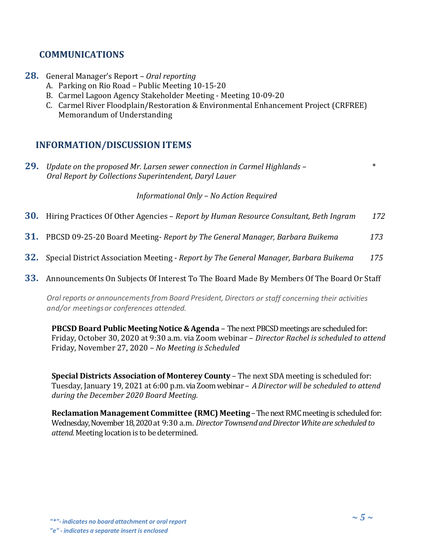#### **COMMUNICATIONS**

- **28.** General Manager's Report *Oral reporting*
	- A. Parking on Rio Road Public Meeting 10-15-20
	- B. Carmel Lagoon Agency Stakeholder Meeting Meeting 10-09-20
	- C. Carmel River Floodplain/Restoration & Environmental Enhancement Project (CRFREE) Memorandum of Understanding

#### **INFORMATION/DISCUSSION ITEMS**

**29.** *Update on the proposed Mr. Larsen sewer connection in Carmel Highlands –* \* *Oral Report by Collections Superintendent, Daryl Lauer*

*Informational Only – No Action Required*

- **30.** Hiring Practices Of Other Agencies *Report by Human Resource Consultant, Beth Ingram 172*
- **31.** PBCSD 09-25-20 Board Meeting- *Report by The General Manager, Barbara Buikema 173*
- **32.** Special District Association Meeting *Report by The General Manager, Barbara Buikema 175*
- **33.** Announcements On Subjects Of Interest To The Board Made By Members Of The Board Or Staff

*Oral reports or announcementsfrom Board President, Directors or staff concerning their activities and/or meetingsor conferences attended.*

**PBCSD** Board Public Meeting Notice & Agenda – The next PBCSD meetings are scheduled for: Friday, October 30, 2020 at 9:30 a.m. via Zoom webinar – *Director Rachel is scheduled to attend* Friday, November 27, 2020 – *No Meeting is Scheduled*

**Special Districts Association of Monterey County** – The next SDA meeting is scheduled for: Tuesday, January 19, 2021 at 6:00 p.m. via Zoom webinar – *A Director will be scheduled to attend during the December 2020 Board Meeting.*

**Reclamation Management Committee (RMC) Meeting** –The next RMC meeting is scheduled for: Wednesday, November18, 2020at 9:30 a.m. *DirectorTownsendandDirector White are scheduled to attend.* Meeting location is to be determined.